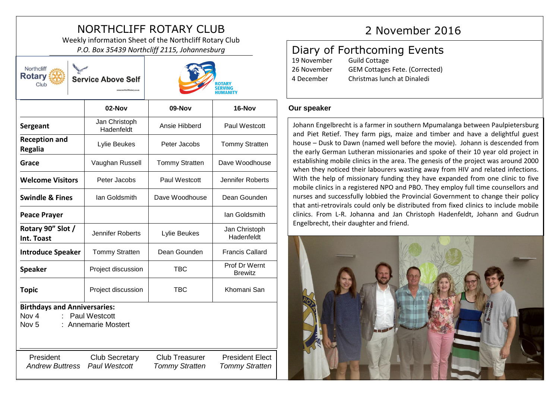# NORTHCLIFF ROTARY CLUB 2 November 2016

Weekly information Sheet of the Northcliff Rotary Club *P.O. Box 35439 Northcliff 2115, Johannesburg*

| Northcliff<br><b>Rotary</b><br><b>Service Above Self</b><br>Club                                                |                                               | ROTARY<br><b>SERVING</b><br>HUMANITY           |                                                 |  |
|-----------------------------------------------------------------------------------------------------------------|-----------------------------------------------|------------------------------------------------|-------------------------------------------------|--|
|                                                                                                                 | 02-Nov                                        | 09-Nov                                         | 16-Nov                                          |  |
| Sergeant                                                                                                        | Jan Christoph<br>Hadenfeldt                   | Ansie Hibberd                                  | Paul Westcott                                   |  |
| <b>Reception and</b><br><b>Regalia</b>                                                                          | Lylie Beukes                                  | Peter Jacobs                                   | <b>Tommy Stratten</b>                           |  |
| Grace                                                                                                           | Vaughan Russell                               | <b>Tommy Stratten</b>                          | Dave Woodhouse                                  |  |
| <b>Welcome Visitors</b>                                                                                         | Peter Jacobs                                  | Paul Westcott                                  | Jennifer Roberts                                |  |
| <b>Swindle &amp; Fines</b>                                                                                      | lan Goldsmith                                 | Dave Woodhouse                                 | Dean Gounden                                    |  |
| <b>Peace Prayer</b>                                                                                             |                                               |                                                | Ian Goldsmith                                   |  |
| Rotary 90" Slot /<br>Int. Toast                                                                                 | Jennifer Roberts                              | Lylie Beukes                                   | Jan Christoph<br>Hadenfeldt                     |  |
| <b>Introduce Speaker</b>                                                                                        | <b>Tommy Stratten</b>                         | Dean Gounden                                   | <b>Francis Callard</b>                          |  |
| <b>Speaker</b>                                                                                                  | Project discussion                            | <b>TBC</b>                                     | Prof Dr Wernt<br><b>Brewitz</b>                 |  |
| <b>Topic</b>                                                                                                    | Project discussion                            | TBC                                            | Khomani San                                     |  |
| <b>Birthdays and Anniversaries:</b><br>Nov 4<br><b>Paul Westcott</b><br>: Annemarie Mostert<br>Nov <sub>5</sub> |                                               |                                                |                                                 |  |
| President<br><b>Andrew Buttress</b>                                                                             | <b>Club Secretary</b><br><b>Paul Westcott</b> | <b>Club Treasurer</b><br><b>Tommy Stratten</b> | <b>President Elect</b><br><b>Tommy Stratten</b> |  |

## Diary of Forthcoming Events

| 19 November | <b>Guild Cottage</b>                  |
|-------------|---------------------------------------|
| 26 November | <b>GEM Cottages Fete. (Corrected)</b> |
| 4 December  | Christmas lunch at Dinaledi           |

### **Our speaker**

Johann Engelbrecht is a farmer in southern Mpumalanga between Paulpietersburg and Piet Retief. They farm pigs, maize and timber and have a delightful guest house – Dusk to Dawn (named well before the movie). Johann is descended from the early German Lutheran missionaries and spoke of their 10 year old project in establishing mobile clinics in the area. The genesis of the project was around 2000 when they noticed their labourers wasting away from HIV and related infections. With the help of missionary funding they have expanded from one clinic to five mobile clinics in a registered NPO and PBO. They employ full time counsellors and nurses and successfully lobbied the Provincial Government to change their policy that anti-retrovirals could only be distributed from fixed clinics to include mobile clinics. From L-R. Johanna and Jan Christoph Hadenfeldt, Johann and Gudrun Engelbrecht, their daughter and friend.